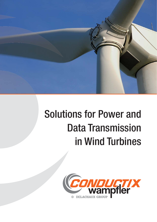

# Solutions for Power and Data Transmission in Wind Turbines

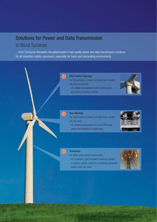## Solutions for Power and Data Transmission in Wind Turbines

... from Conductix-Wampfler, the global leader in high-quality power and data transmission solutions for all industrial mobile consumers, especially for harsh and demanding environments.

 $\left( 1\right)$ 

#### Pitch Control Sliprings

For transmission of power and data from nacelle into the rotating hub

- for reliable transmission of pitch control power and control of safety systems



#### Yaw Sliprings

2

For transmission of power and data from nacelle into the tower

- for reliable transmission of LV and MV power without the limitations of cable loops



#### 3

#### **Towerbuss**

For down-tower power transmission

- An innovative, rigid insulated conductor system to replace copper cables for conducting generator output down the tower

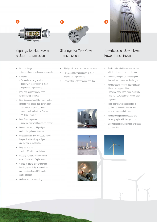

## Sliprings for Hub Power & Data Transmission

- Modular design
	- slipring tailored to customer requirements
- **Contacts** 
	- Carbon brush or gold wire
	- flexibility of specification to meet all potential requirements
- Main and auxiliary power rings for transfer up to 100A
- Data rings or optional fibre optic rotating joints for high-speed data transmission
	- compatible with all common modes, such as CANbus, Profibus, Asi-Bus, Ethernet
- Data Rings v-grooved - signal loss minimised through redundancy
- Double contacts for high signal contact integrity and low noise
- Unique gold wire alloy composition gives long service intervals, up to 2 years, and low cost of owndership
- Long service life - up to 100 million revolutions
- Industry standard connections for ease of installation/replacement
- Choice of strong alloy or polymer housing gives ability to select best combination of weight/strength/ cost/protection
- Optional encoder mounting



2

## Sliprings for Yaw Power Transmission

- Sliprings tailored to customer requirements
- For LV and MV transmission to meet all potential requirements
- Combination units for power and data





## Towerbuss for Down-Tower Power Transmission

- Easily pre-installed in the tower sections whilst on the ground or in the factory
- Conductor lengths can be designed to match each tower section length
- Modular design requires less installation labour than copper cables
	- Installed costs (labour and materials) are 10 - 20% less than copper cable systems
- Rigid aluminium extrusions flex to conform to dynamic, thermal and seismic movement of tower
- Modular design enables sections to be easily replaced if damage occurs
- Electrical specifications meet or exceed copper cable